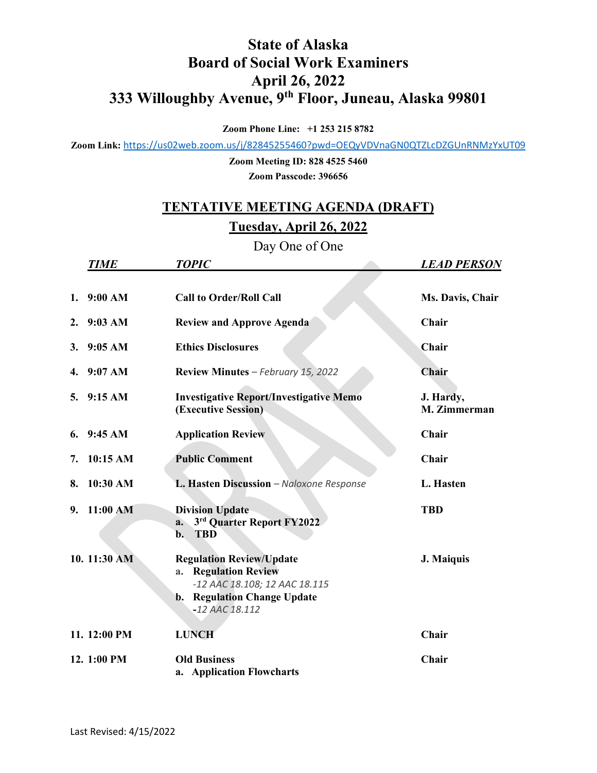## **State of Alaska Board of Social Work Examiners April 26, 2022 333 Willoughby Avenue, 9th Floor, Juneau, Alaska 99801**

**Zoom Phone Line: +1 253 215 8782**

**Zoom Link:** <https://us02web.zoom.us/j/82845255460?pwd=OEQyVDVnaGN0QTZLcDZGUnRNMzYxUT09>

**Zoom Meeting ID: 828 4525 5460 Zoom Passcode: 396656**

## **TENTATIVE MEETING AGENDA (DRAFT) Tuesday, April 26, 2022**

Day One of One

|    | <b>TIME</b>  | <b>TOPIC</b>                                                                                                                                                  | <b>LEAD PERSON</b>        |
|----|--------------|---------------------------------------------------------------------------------------------------------------------------------------------------------------|---------------------------|
|    | 1. $9:00 AM$ | <b>Call to Order/Roll Call</b>                                                                                                                                | Ms. Davis, Chair          |
| 2. | $9:03$ AM    | <b>Review and Approve Agenda</b>                                                                                                                              | Chair                     |
| 3. | 9:05 AM      | <b>Ethics Disclosures</b>                                                                                                                                     | Chair                     |
| 4. | 9:07 AM      | Review Minutes - February 15, 2022                                                                                                                            | <b>Chair</b>              |
|    | 5. 9:15 AM   | <b>Investigative Report/Investigative Memo</b><br>(Executive Session)                                                                                         | J. Hardy,<br>M. Zimmerman |
|    | 6. $9:45 AM$ | <b>Application Review</b>                                                                                                                                     | Chair                     |
| 7. | 10:15 AM     | <b>Public Comment</b>                                                                                                                                         | Chair                     |
| 8. | 10:30 AM     | L. Hasten Discussion - Naloxone Response                                                                                                                      | L. Hasten                 |
| 9. | 11:00 AM     | <b>Division Update</b><br>3rd Quarter Report FY2022<br>a.<br><b>TBD</b><br>b.                                                                                 | <b>TBD</b>                |
|    | 10. 11:30 AM | <b>Regulation Review/Update</b><br><b>Regulation Review</b><br>a.<br>-12 AAC 18.108; 12 AAC 18.115<br><b>Regulation Change Update</b><br>b.<br>-12 AAC 18.112 | J. Maiquis                |
|    | 11. 12:00 PM | <b>LUNCH</b>                                                                                                                                                  | Chair                     |
|    | 12. 1:00 PM  | <b>Old Business</b><br>a. Application Flowcharts                                                                                                              | Chair                     |